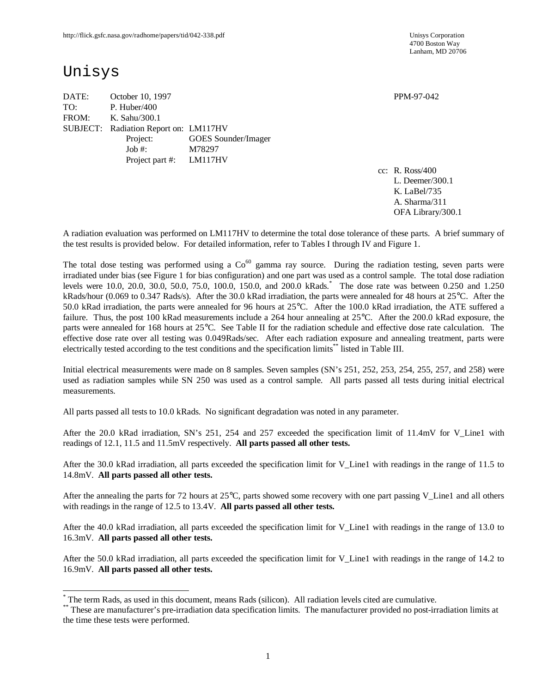# Unisys

 $\overline{a}$ 

DATE: October 10, 1997 PPM-97-042 TO: P. Huber/400 FROM: K. Sahu/300.1 SUBJECT: Radiation Report on: LM117HV Project: GOES Sounder/Imager Job #: M78297 Project part #: LM117HV

cc: R. Ross/400 L. Deemer/300.1 K. LaBel/735 A. Sharma/311 OFA Library/300.1

A radiation evaluation was performed on LM117HV to determine the total dose tolerance of these parts. A brief summary of the test results is provided below. For detailed information, refer to Tables I through IV and Figure 1.

The total dose testing was performed using a  $Co<sup>60</sup>$  gamma ray source. During the radiation testing, seven parts were irradiated under bias (see Figure 1 for bias configuration) and one part was used as a control sample. The total dose radiation levels were 10.0, 20.0, 30.0, 50.0, 75.0, 100.0, 150.0, and 200.0 kRads. \* The dose rate was between 0.250 and 1.250 kRads/hour (0.069 to 0.347 Rads/s). After the 30.0 kRad irradiation, the parts were annealed for 48 hours at 25°C. After the 50.0 kRad irradiation, the parts were annealed for 96 hours at 25°C. After the 100.0 kRad irradiation, the ATE suffered a failure. Thus, the post 100 kRad measurements include a 264 hour annealing at 25°C. After the 200.0 kRad exposure, the parts were annealed for 168 hours at 25°C. See Table II for the radiation schedule and effective dose rate calculation. The effective dose rate over all testing was 0.049Rads/sec. After each radiation exposure and annealing treatment, parts were electrically tested according to the test conditions and the specification limits\*\* listed in Table III.

Initial electrical measurements were made on 8 samples. Seven samples (SN's 251, 252, 253, 254, 255, 257, and 258) were used as radiation samples while SN 250 was used as a control sample. All parts passed all tests during initial electrical measurements.

All parts passed all tests to 10.0 kRads. No significant degradation was noted in any parameter.

After the 20.0 kRad irradiation, SN's 251, 254 and 257 exceeded the specification limit of 11.4mV for V\_Line1 with readings of 12.1, 11.5 and 11.5mV respectively. **All parts passed all other tests.**

After the 30.0 kRad irradiation, all parts exceeded the specification limit for V\_Line1 with readings in the range of 11.5 to 14.8mV. **All parts passed all other tests.**

After the annealing the parts for 72 hours at 25°C, parts showed some recovery with one part passing V\_Line1 and all others with readings in the range of 12.5 to 13.4V. **All parts passed all other tests.**

After the 40.0 kRad irradiation, all parts exceeded the specification limit for V\_Line1 with readings in the range of 13.0 to 16.3mV. **All parts passed all other tests.**

After the 50.0 kRad irradiation, all parts exceeded the specification limit for V\_Line1 with readings in the range of 14.2 to 16.9mV. **All parts passed all other tests.**

<sup>\*</sup> The term Rads, as used in this document, means Rads (silicon). All radiation levels cited are cumulative.

<sup>\*\*</sup> These are manufacturer's pre-irradiation data specification limits. The manufacturer provided no post-irradiation limits at the time these tests were performed.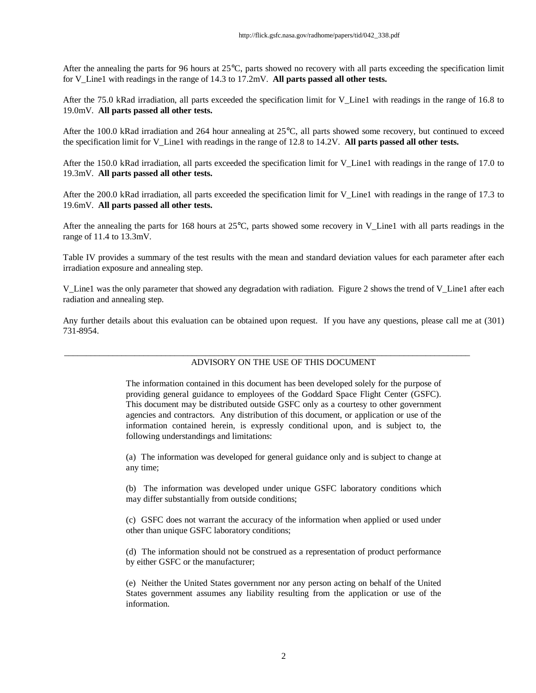After the annealing the parts for 96 hours at 25°C, parts showed no recovery with all parts exceeding the specification limit for V\_Line1 with readings in the range of 14.3 to 17.2mV. **All parts passed all other tests.**

After the 75.0 kRad irradiation, all parts exceeded the specification limit for V\_Line1 with readings in the range of 16.8 to 19.0mV. **All parts passed all other tests.**

After the 100.0 kRad irradiation and 264 hour annealing at 25°C, all parts showed some recovery, but continued to exceed the specification limit for V\_Line1 with readings in the range of 12.8 to 14.2V. **All parts passed all other tests.**

After the 150.0 kRad irradiation, all parts exceeded the specification limit for V\_Line1 with readings in the range of 17.0 to 19.3mV. **All parts passed all other tests.**

After the 200.0 kRad irradiation, all parts exceeded the specification limit for V\_Line1 with readings in the range of 17.3 to 19.6mV. **All parts passed all other tests.**

After the annealing the parts for 168 hours at 25°C, parts showed some recovery in V\_Line1 with all parts readings in the range of 11.4 to 13.3mV.

Table IV provides a summary of the test results with the mean and standard deviation values for each parameter after each irradiation exposure and annealing step.

V\_Line1 was the only parameter that showed any degradation with radiation. Figure 2 shows the trend of V\_Line1 after each radiation and annealing step.

Any further details about this evaluation can be obtained upon request. If you have any questions, please call me at (301) 731-8954.

#### ADVISORY ON THE USE OF THIS DOCUMENT

\_\_\_\_\_\_\_\_\_\_\_\_\_\_\_\_\_\_\_\_\_\_\_\_\_\_\_\_\_\_\_\_\_\_\_\_\_\_\_\_\_\_\_\_\_\_\_\_\_\_\_\_\_\_\_\_\_\_\_\_\_\_\_\_\_\_\_\_\_\_\_\_\_\_\_\_\_\_\_\_\_\_\_\_\_\_\_\_\_\_\_\_

The information contained in this document has been developed solely for the purpose of providing general guidance to employees of the Goddard Space Flight Center (GSFC). This document may be distributed outside GSFC only as a courtesy to other government agencies and contractors. Any distribution of this document, or application or use of the information contained herein, is expressly conditional upon, and is subject to, the following understandings and limitations:

(a) The information was developed for general guidance only and is subject to change at any time;

(b) The information was developed under unique GSFC laboratory conditions which may differ substantially from outside conditions;

(c) GSFC does not warrant the accuracy of the information when applied or used under other than unique GSFC laboratory conditions;

(d) The information should not be construed as a representation of product performance by either GSFC or the manufacturer;

(e) Neither the United States government nor any person acting on behalf of the United States government assumes any liability resulting from the application or use of the information.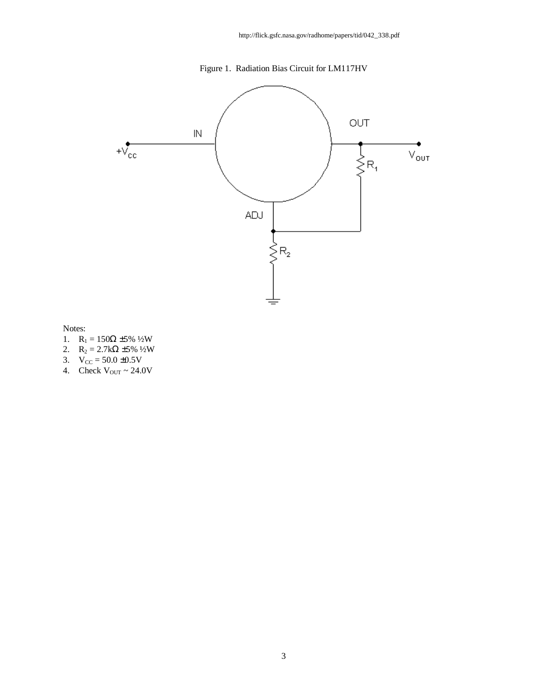



Notes:

- 1.  $R_1 = 150Ω ±5%$  ½W
- 2.  $R_2 = 2.7k\Omega \pm 5\% 1/2W$
- 3.  $V_{CC} = 50.0 \pm 0.5V$
- 4. Check  $V_{\text{OUT}} \sim 24.0 V$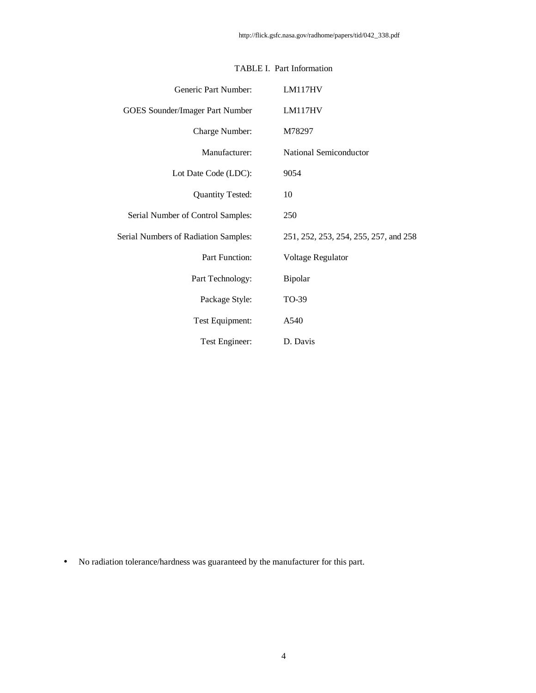| Generic Part Number:                 | LM117HV                               |
|--------------------------------------|---------------------------------------|
| GOES Sounder/Imager Part Number      | LM117HV                               |
| Charge Number:                       | M78297                                |
| Manufacturer:                        | National Semiconductor                |
| Lot Date Code (LDC):                 | 9054                                  |
| <b>Quantity Tested:</b>              | 10                                    |
| Serial Number of Control Samples:    | 250                                   |
| Serial Numbers of Radiation Samples: | 251, 252, 253, 254, 255, 257, and 258 |
| Part Function:                       | Voltage Regulator                     |
| Part Technology:                     | Bipolar                               |
| Package Style:                       | TO-39                                 |
| Test Equipment:                      | A540                                  |
| Test Engineer:                       | D. Davis                              |

## TABLE I. Part Information

• No radiation tolerance/hardness was guaranteed by the manufacturer for this part.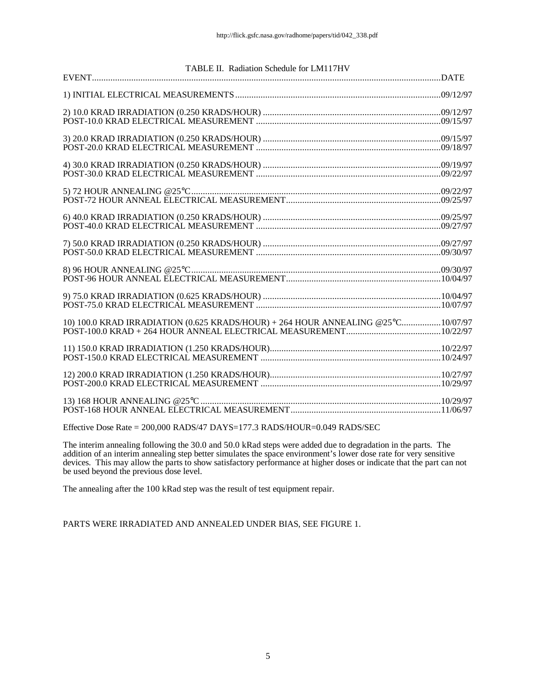| TABLE II. Radiation Schedule for LM117HV                                         |  |
|----------------------------------------------------------------------------------|--|
|                                                                                  |  |
|                                                                                  |  |
|                                                                                  |  |
|                                                                                  |  |
|                                                                                  |  |
|                                                                                  |  |
|                                                                                  |  |
|                                                                                  |  |
|                                                                                  |  |
|                                                                                  |  |
|                                                                                  |  |
|                                                                                  |  |
|                                                                                  |  |
|                                                                                  |  |
|                                                                                  |  |
|                                                                                  |  |
|                                                                                  |  |
| 10) 100.0 KRAD IRRADIATION (0.625 KRADS/HOUR) + 264 HOUR ANNEALING @25°C10/07/97 |  |
|                                                                                  |  |
|                                                                                  |  |
|                                                                                  |  |
|                                                                                  |  |
|                                                                                  |  |
|                                                                                  |  |
|                                                                                  |  |
| والمستواد والمتحدث والمستنقذ والمستحدث والمستندر                                 |  |

Effective Dose Rate = 200,000 RADS/47 DAYS=177.3 RADS/HOUR=0.049 RADS/SEC

The interim annealing following the 30.0 and 50.0 kRad steps were added due to degradation in the parts. The addition of an interim annealing step better simulates the space environment's lower dose rate for very sensitive devices. This may allow the parts to show satisfactory performance at higher doses or indicate that the part can not be used beyond the previous dose level.

The annealing after the 100 kRad step was the result of test equipment repair.

PARTS WERE IRRADIATED AND ANNEALED UNDER BIAS, SEE FIGURE 1.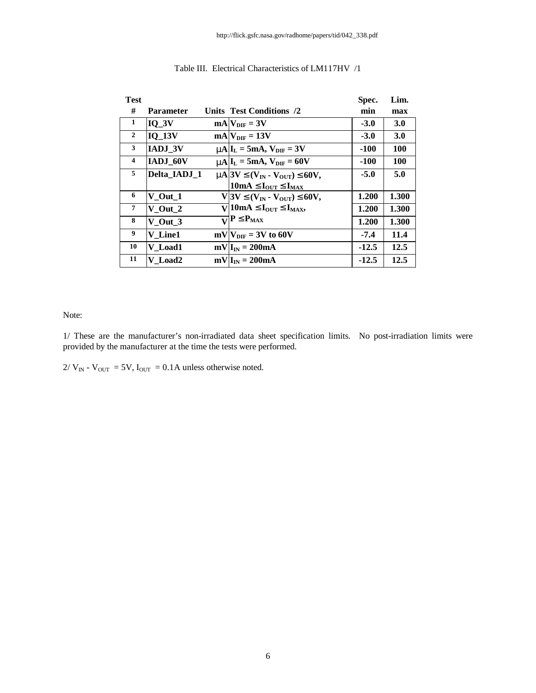| <b>Test</b>    |               |                                                                                               | Spec.   | Lim.       |
|----------------|---------------|-----------------------------------------------------------------------------------------------|---------|------------|
| #              | Parameter     | Units Test Conditions /2                                                                      | min     | max        |
| 1              | $IO_3V$       | $mA V_{\text{DIF}} = 3V$                                                                      | $-3.0$  | <b>3.0</b> |
| $\overline{2}$ | <b>IO 13V</b> | $mA$ <sub>DIF</sub> = 13V                                                                     | $-3.0$  | 3.0        |
| 3              | IADJ_3V       | $mAlI_L = 5mA$ , $V_{\text{DIF}} = 3V$                                                        | -100    | <b>100</b> |
| $\overline{4}$ | IADJ 60V      | $mA I_L = 5mA$ , $V_{\text{DIF}} = 60V$                                                       | $-100$  | <b>100</b> |
| 5              | Delta IADJ 1  | $m\approx 3V \mathbf{E}(V_{IN} - V_{OUT}) \mathbf{E}60V,$                                     | $-5.0$  | 5.0        |
|                |               | 10mA $\mathbf{E}\mathbf{I}_{\text{OUT}}\mathbf{E}\mathbf{I}_{\text{MAX}}$                     |         |            |
| 6              | $V_$ Out $_1$ | V 3V $\mathbf{\mathfrak{L}}(V_{IN} \cdot V_{OUT}) \mathbf{\mathfrak{L}}60V,$                  | 1.200   | 1.300      |
| 7              | V Out 2       | V 10mA $\mathbf{E}\mathbf{I}_{\text{OUT}}\mathbf{\mathbf{\mathbb{E}}}\mathbf{I}_{\text{MAX}}$ | 1.200   | 1.300      |
| 8              | V Out 3       | $\overline{\mathbf{V}}$ P £P <sub>MAX</sub>                                                   | 1.200   | 1.300      |
| 9              | V Line1       | $mV$ $V_{\text{DIF}}$ = 3V to 60V                                                             | $-7.4$  | 11.4       |
| 10             | V Load1       | $mV I_{IN} = 200mA$                                                                           | $-12.5$ | 12.5       |
| 11             | V Load2       | $mV I_{IN} = 200mA$                                                                           | $-12.5$ | 12.5       |

### Table III. Electrical Characteristics of LM117HV /1

#### Note:

1/ These are the manufacturer's non-irradiated data sheet specification limits. No post-irradiation limits were provided by the manufacturer at the time the tests were performed.

 $2/V_{\text{IN}}$  -  $V_{\text{OUT}}$  = 5V,  $I_{\text{OUT}}$  = 0.1A unless otherwise noted.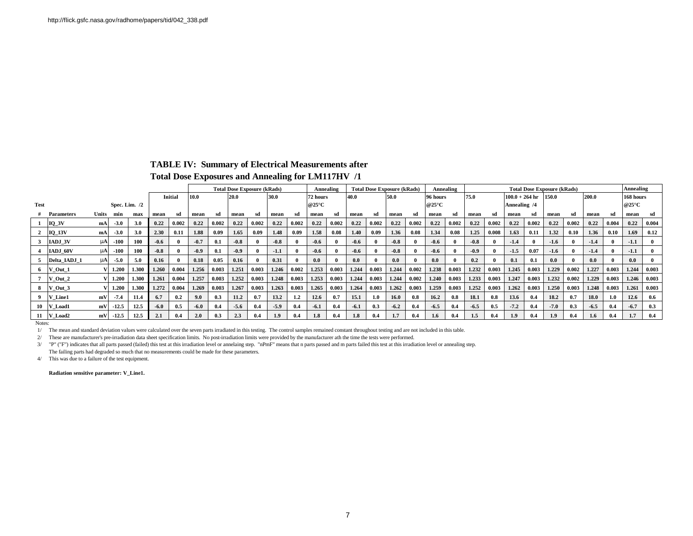#### **TABLE IV: Summary of Electrical Measurements after**

### **Total Dose Exposures and Annealing for LM117HV /1**

|             |                   |                 |         |       |        |         |        | <b>Total Dose Exposure (kRads)</b><br><b>Total Dose Exposure (kRads)</b><br>Annealing |        |       |        |         |          |              |        |       |        | Annealing        | <b>Total Dose Exposure (kRads)</b> |              |        |              |                           |                      |        |       |        | Annealing        |           |         |
|-------------|-------------------|-----------------|---------|-------|--------|---------|--------|---------------------------------------------------------------------------------------|--------|-------|--------|---------|----------|--------------|--------|-------|--------|------------------|------------------------------------|--------------|--------|--------------|---------------------------|----------------------|--------|-------|--------|------------------|-----------|---------|
|             |                   |                 |         |       |        | Initial | 10.0   |                                                                                       | 20.0   |       | 30.0   |         | 72 hours | 40.0<br>50.0 |        |       |        | 96 hours         |                                    | 75.0         |        |              | 150.0<br>$100.0 + 264$ hr |                      |        |       | 200.0  |                  | 168 hours |         |
| <b>Test</b> |                   | Spec. Lim. $/2$ |         |       |        |         |        |                                                                                       |        |       |        | @25°C   |          |              |        |       |        | @ $25^{\circ}$ C |                                    |              |        | Annealing /4 |                           |                      |        |       |        | @ $25^{\circ}$ C |           |         |
|             | <b>Parameters</b> | Units           | min     | max   | mean   | sd      | mean   | sd                                                                                    | mean   | -sd   | mean   | sd      | mean     | sd           | mean   | sd    | mean   | sd               | mean                               | sd           | mean   | sd           | mean                      | sd                   | mean   | sd    | mean   | sd               | mean      | - sd    |
|             | $IQ_3V$           | mA              | $-3.0$  | 3.0   | 0.22   | 0.002   | 0.22   | 0.002                                                                                 | 0.22   | 0.002 | 0.22   | 0.002   | 0.22     | 0.002        | 0.22   | 0.002 | 0.22   | 0.002            | 0.22                               | 0.002        | 0.22   | 0.002        | 0.22                      | 0.002                | 0.22   | 0.002 | 0.22   | 0.004            | 0.22      | 0.004   |
|             | $IO_13V$          | mA              | $-3.0$  | 3.0   | 2.30   | 0.11    | 1.88   | 0.09                                                                                  | 1.65   | 0.09  | 1.48   | 0.09    | 1.58     | 0.08         | 1.40   | 0.09  | 1.36   | 0.08             | 1.34                               | 0.08         | 1.25   | 0.008        | 1.63                      | 0.11                 | 1.32   | 0.10  | 1.36   | 0.10             | 1.69      | 0.12    |
|             | IADJ 3V           | mA              | $-100$  | 100   | $-0.6$ |         | $-0.7$ | 0.1                                                                                   | $-0.8$ |       | $-0.8$ |         | $-0.6$   |              | $-0.6$ |       | $-0.8$ |                  | $-0.6$                             | $\mathbf{0}$ | $-0.8$ |              | $-1.4$                    |                      | $-1.6$ |       | $-1.4$ |                  | $-1.1$    |         |
|             | IADJ 60V          | mA              | $-100$  | 100   | $-0.8$ |         | $-0.9$ | 0.1                                                                                   | $-0.9$ |       | $-1.1$ |         | $-0.6$   |              | $-0.6$ |       | $-0.8$ |                  | $-0.6$                             | $\mathbf{0}$ | $-0.9$ |              | $-1.5$                    | 0.07                 | $-1.6$ |       | $-1.4$ |                  | $-1.1$    |         |
|             | Delta IADJ 1      | mA              | $-5.0$  | 5.0   | 0.16   |         | 0.18   | 0.05                                                                                  | 0.16   |       | 0.31   |         | 0.0      |              | 0.0    |       | 0.0    |                  | 0.0                                |              | 0.2    |              | 0.1                       | 0.1                  | 0.0    |       | 0.0    |                  | 0.0       |         |
|             | V Out 1           |                 | 1.200   | 1.300 | 1.260  | 0.004   | 1.256  | 0.003                                                                                 | 1.251  | 0.003 | 1.246  | 0.002   | 1.253    | 0.003        | 1.244  | 0.003 | 1.244  | 0.002            | 1.238                              | 0.003        | 1.232  | 0.003        | 1.245                     | 0.003                | 1.229  | 0.002 | 1.227  | 0.003            | 1.244     | 0.003   |
|             | V Out 2           |                 | 1.200   | 1.300 | 1.261  | 0.004   | 1.257  | 0.003                                                                                 | 1.252  | 0.003 | 1.248  | 0.003   | 1.253    | 0.003        | 1.244  | 0.003 | 1.244  | 0.002            | 1.240                              | 0.003        | 1.233  | 0.003        | 1.247                     | $\boldsymbol{0.003}$ | 1.232  | 0.002 | 1.229  | 0.003            | 1.246     | 0.003   |
|             | V Out 3           |                 | 1.200   | 1.300 | 1.272  | 0.004   | 1.269  | 0.003                                                                                 | 1.267  | 0.003 | 1.263  | 0.003   | 1.265    | 0.003        | 1.264  | 0.003 | 1.262  | 0.003            | 1.259                              | 0.003        | 1.252  | 0.003        | 1.262                     | 0.003                | 1.250  | 0.003 | 1.248  | 0.003            | 1.261     | 0.003   |
|             | Line1<br>IV       | mV              | $-7.4$  | 11.4  | 6.7    | 0.2     | 9.0    | 0.3                                                                                   | 11.2   | 0.7   | 13.2   | $1.2\,$ | 12.6     | 0.7          | 15.1   | 1.0   | 16.0   | 0.8              | 16.2                               | 0.8          | 18.1   | 0.8          | 13.6                      | 0.4                  | 18.2   | 0.7   | 18.0   | 1.0              | 12.6      | 0.6     |
|             | Load1<br>IV       | mV              | $-12.5$ | 12.5  | $-6.0$ | 0.5     | $-6.0$ | 0.4                                                                                   | $-5.6$ | 0.4   | $-5.9$ | 0.4     | $-6.1$   | 0.4          | $-6.1$ | 0.3   | $-6.2$ | 0.4              | $-6.5$                             | 0.4          | $-6.5$ | 0.5          | $-7.2$                    | 0.4                  | $-7.0$ | 0.3   | $-6.5$ | 0.4              | $-6.7$    | 0.3     |
|             | V_Load2           | mV              | $-12.5$ | 12.5  | 2.1    | 0.4     | 2.0    | 0.3                                                                                   | 2.3    | 0.4   | 1.9    | 0.4     | 1.8      | 0.4          | 1.8    | 0.4   | 1.7    | 0.4              | 1.6                                | 0.4          | 1.5    | 0.4          | 1.9 <sup>°</sup>          | 0.4                  | 1.9    | 0.4   | 1.6    | 0.4              | 1.7       | $0.4\,$ |
|             |                   |                 |         |       |        |         |        |                                                                                       |        |       |        |         |          |              |        |       |        |                  |                                    |              |        |              |                           |                      |        |       |        |                  |           |         |

Notes:

1/ The mean and standard deviation values were calculated over the seven parts irradiated in this testing. The control samples remained constant throughout testing and are not included in this table.

2/ These are manufacturer's pre-irradiation data sheet specification limits. No post-irradiation limits were provided by the manufacturer ath the time the tests were performed.

3/ "P" ("F") indicates that all parts passed (failed) this test at this irradiation level or annelaing step. "nPmF" means that n parts passed and m parts failed this test at this irradiation level or annealing step. The failing parts had degraded so much that no measurements could be made for these parameters.

4/ This was due to a failure of the test equipment.

**Radiation sensitive parameter: V\_Line1.**